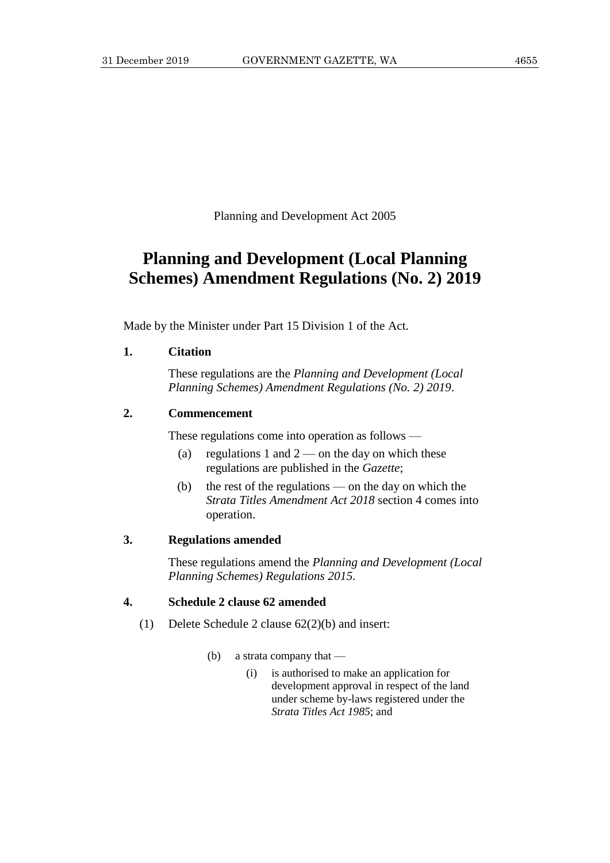Planning and Development Act 2005

# **Planning and Development (Local Planning Schemes) Amendment Regulations (No. 2) 2019**

Made by the Minister under Part 15 Division 1 of the Act.

## **1. Citation**

These regulations are the *Planning and Development (Local Planning Schemes) Amendment Regulations (No. 2) 2019*.

# **2. Commencement**

These regulations come into operation as follows —

- (a) regulations 1 and  $2$  on the day on which these regulations are published in the *Gazette*;
- (b) the rest of the regulations on the day on which the *Strata Titles Amendment Act 2018* section 4 comes into operation.

## **3. Regulations amended**

These regulations amend the *Planning and Development (Local Planning Schemes) Regulations 2015*.

# **4. Schedule 2 clause 62 amended**

- (1) Delete Schedule 2 clause 62(2)(b) and insert:
	- (b) a strata company that
		- (i) is authorised to make an application for development approval in respect of the land under scheme by-laws registered under the *Strata Titles Act 1985*; and